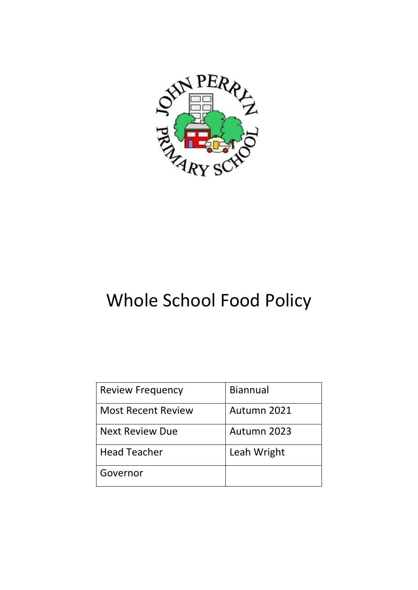

# Whole School Food Policy

| <b>Review Frequency</b>   | <b>Biannual</b> |
|---------------------------|-----------------|
| <b>Most Recent Review</b> | Autumn 2021     |
| <b>Next Review Due</b>    | Autumn 2023     |
| <b>Head Teacher</b>       | Leah Wright     |
| Governor                  |                 |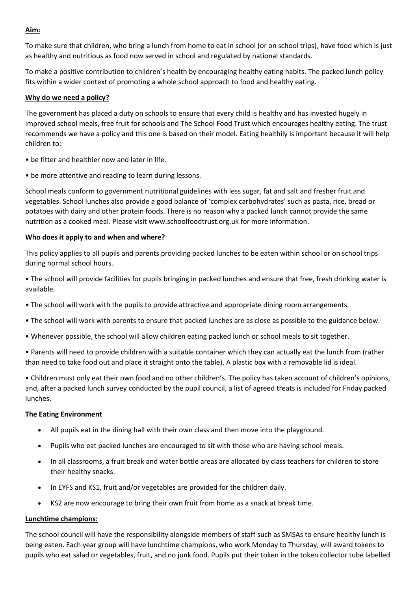# **Aim:**

To make sure that children, who bring a lunch from home to eat in school (or on school trips), have food which is just as healthy and nutritious as food now served in school and regulated by national standards.

To make a positive contribution to children's health by encouraging healthy eating habits. The packed lunch policy fits within a wider context of promoting a whole school approach to food and healthy eating.

## **Why do we need a policy?**

The government has placed a duty on schools to ensure that every child is healthy and has invested hugely in improved school meals, free fruit for schools and The School Food Trust which encourages healthy eating. The trust recommends we have a policy and this one is based on their model. Eating healthily is important because it will help children to:

- be fitter and healthier now and later in life.
- be more attentive and reading to learn during lessons.

School meals conform to government nutritional guidelines with less sugar, fat and salt and fresher fruit and vegetables. School lunches also provide a good balance of 'complex carbohydrates' such as pasta, rice, bread or potatoes with dairy and other protein foods. There is no reason why a packed lunch cannot provide the same nutrition as a cooked meal. Please visit www.schoolfoodtrust.org.uk for more information.

#### **Who does it apply to and when and where?**

This policy applies to all pupils and parents providing packed lunches to be eaten within school or on school trips during normal school hours.

• The school will provide facilities for pupils bringing in packed lunches and ensure that free, fresh drinking water is available.

- The school will work with the pupils to provide attractive and appropriate dining room arrangements.
- The school will work with parents to ensure that packed lunches are as close as possible to the guidance below.
- Whenever possible, the school will allow children eating packed lunch or school meals to sit together.

• Parents will need to provide children with a suitable container which they can actually eat the lunch from (rather than need to take food out and place it straight onto the table). A plastic box with a removable lid is ideal.

• Children must only eat their own food and no other children's. The policy has taken account of children's opinions, and, after a packed lunch survey conducted by the pupil council, a list of agreed treats is included for Friday packed lunches.

#### **The Eating Environment**

- All pupils eat in the dining hall with their own class and then move into the playground.
- Pupils who eat packed lunches are encouraged to sit with those who are having school meals.
- In all classrooms, a fruit break and water bottle areas are allocated by class teachers for children to store their healthy snacks.
- In EYFS and KS1, fruit and/or vegetables are provided for the children daily.
- KS2 are now encourage to bring their own fruit from home as a snack at break time.

#### **Lunchtime champions:**

The school council will have the responsibility alongside members of staff such as SMSAs to ensure healthy lunch is being eaten. Each year group will have lunchtime champions, who work Monday to Thursday, will award tokens to pupils who eat salad or vegetables, fruit, and no junk food. Pupils put their token in the token collector tube labelled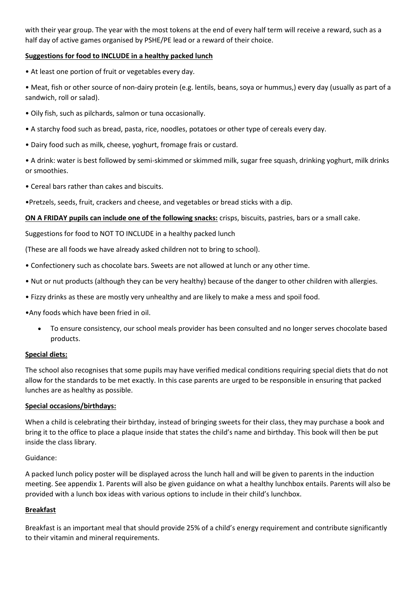with their year group. The year with the most tokens at the end of every half term will receive a reward, such as a half day of active games organised by PSHE/PE lead or a reward of their choice.

# **Suggestions for food to INCLUDE in a healthy packed lunch**

• At least one portion of fruit or vegetables every day.

• Meat, fish or other source of non-dairy protein (e.g. lentils, beans, soya or hummus,) every day (usually as part of a sandwich, roll or salad).

- Oily fish, such as pilchards, salmon or tuna occasionally.
- A starchy food such as bread, pasta, rice, noodles, potatoes or other type of cereals every day.
- Dairy food such as milk, cheese, yoghurt, fromage frais or custard.

• A drink: water is best followed by semi-skimmed or skimmed milk, sugar free squash, drinking yoghurt, milk drinks or smoothies.

• Cereal bars rather than cakes and biscuits.

•Pretzels, seeds, fruit, crackers and cheese, and vegetables or bread sticks with a dip.

**ON A FRIDAY pupils can include one of the following snacks:** crisps, biscuits, pastries, bars or a small cake.

Suggestions for food to NOT TO INCLUDE in a healthy packed lunch

(These are all foods we have already asked children not to bring to school).

- Confectionery such as chocolate bars. Sweets are not allowed at lunch or any other time.
- Nut or nut products (although they can be very healthy) because of the danger to other children with allergies.
- Fizzy drinks as these are mostly very unhealthy and are likely to make a mess and spoil food.

•Any foods which have been fried in oil.

 To ensure consistency, our school meals provider has been consulted and no longer serves chocolate based products.

#### **Special diets:**

The school also recognises that some pupils may have verified medical conditions requiring special diets that do not allow for the standards to be met exactly. In this case parents are urged to be responsible in ensuring that packed lunches are as healthy as possible.

#### **Special occasions/birthdays:**

When a child is celebrating their birthday, instead of bringing sweets for their class, they may purchase a book and bring it to the office to place a plaque inside that states the child's name and birthday. This book will then be put inside the class library.

#### Guidance:

A packed lunch policy poster will be displayed across the lunch hall and will be given to parents in the induction meeting. See appendix 1. Parents will also be given guidance on what a healthy lunchbox entails. Parents will also be provided with a lunch box ideas with various options to include in their child's lunchbox.

## **Breakfast**

Breakfast is an important meal that should provide 25% of a child's energy requirement and contribute significantly to their vitamin and mineral requirements.